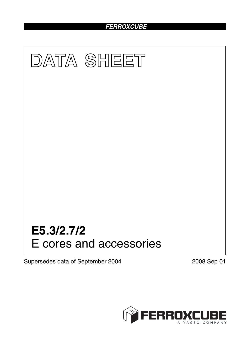# *FERROXCUBE*



Supersedes data of September 2004 2008 Sep 01

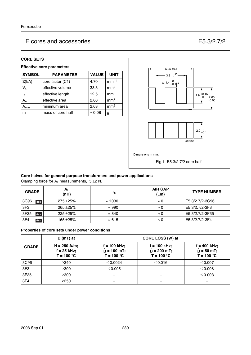#### **CORE SETS**

#### **Effective core parameters**

| <b>SYMBOL</b>       | <b>PARAMETER</b>  | <b>VALUE</b>   | <b>UNIT</b>     |
|---------------------|-------------------|----------------|-----------------|
| $\Sigma(I/A)$       | core factor (C1)  | 4.70           | $mm-1$          |
| $V_{e}$             | effective volume  | 33.3           | mm <sup>3</sup> |
| l <sub>e</sub>      | effective length  | 12.5           | mm              |
| $A_{\rm e}$         | effective area    | 2.66           | mm <sup>2</sup> |
| $\lambda_{\sf min}$ | minimum area      | 2.63           | mm <sup>2</sup> |
| m                   | mass of core half | $\approx 0.08$ | g               |



#### **Core halves for general purpose transformers and power applications**

Clamping force for  $A_L$  measurements,  $5 \pm 2 N$ .

| <b>GRADE</b>           | $A_L$<br>(nH) | μ <sub>e</sub> | <b>AIR GAP</b><br>$(\mu m)$ | <b>TYPE NUMBER</b> |
|------------------------|---------------|----------------|-----------------------------|--------------------|
| 3C96<br>des            | $275 + 25%$   | $\approx$ 1030 | $\approx 0$                 | E5.3/2.7/2-3C96    |
| 3F <sub>3</sub>        | $265 + 25%$   | $\approx 990$  | $\approx 0$                 | E5.3/2.7/2-3F3     |
| 3F35<br>des            | $225 + 25%$   | $\approx 840$  | $\approx 0$                 | E5.3/2.7/2-3F35    |
| 3F <sub>4</sub><br>des | $165 + 25%$   | $\approx 615$  | $\approx 0$                 | E5.3/2.7/2-3F4     |

#### **Properties of core sets under power conditions**

|                 | $B(mT)$ at                                      | CORE LOSS (W) at                                |                                                 |                                                |
|-----------------|-------------------------------------------------|-------------------------------------------------|-------------------------------------------------|------------------------------------------------|
| <b>GRADE</b>    | $H = 250$ A/m;<br>$f = 25$ kHz;<br>$T = 100 °C$ | $f = 100$ kHz;<br>$B = 100$ mT;<br>$T = 100 °C$ | $f = 100$ kHz;<br>$B = 200$ mT;<br>$T = 100 °C$ | $f = 400$ kHz;<br>$B = 50$ mT;<br>$T = 100 °C$ |
| 3C96            | $\geq$ 340                                      | $\leq 0.0024$                                   | $≤ 0.016$                                       | $\leq 0.007$                                   |
| 3F <sub>3</sub> | $\geq 300$                                      | $\leq 0.005$                                    |                                                 | $\leq 0.008$                                   |
| 3F35            | $\geq$ 300                                      |                                                 |                                                 | $\leq 0.003$                                   |
| 3F4             | >250                                            |                                                 |                                                 |                                                |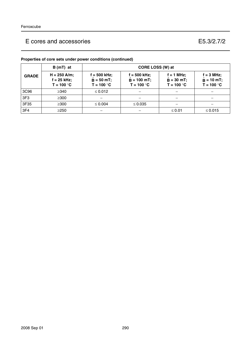|                 | $B(mT)$ at                                      | CORE LOSS (W) at                                |                                                 |                                            |                                                     |  |
|-----------------|-------------------------------------------------|-------------------------------------------------|-------------------------------------------------|--------------------------------------------|-----------------------------------------------------|--|
| <b>GRADE</b>    | $H = 250$ A/m;<br>$f = 25$ kHz;<br>$T = 100 °C$ | $f = 500$ kHz;<br>$B = 50 mT$ ;<br>$T = 100 °C$ | $f = 500$ kHz;<br>$B = 100$ mT;<br>$T = 100 °C$ | i = 1 MHz;<br>$B = 30$ mT;<br>$T = 100 °C$ | $f = 3 MHz$ ;<br>$\hat{B} = 10$ mT;<br>$T = 100 °C$ |  |
| 3C96            | $\geq$ 340                                      | $\leq 0.012$                                    |                                                 |                                            |                                                     |  |
| 3F <sub>3</sub> | $\geq$ 300                                      |                                                 |                                                 |                                            |                                                     |  |
| 3F35            | $\geq$ 300                                      | $\leq 0.004$                                    | $\leq 0.035$                                    |                                            |                                                     |  |
| 3F4             | $\geq$ 250                                      |                                                 |                                                 | $≤ 0.01$                                   | $\leq 0.015$                                        |  |

## **Properties of core sets under power conditions (continued)**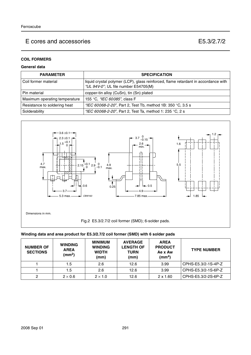### **COIL FORMERS**

#### **General data**

| <b>PARAMETER</b>              | <b>SPECIFICATION</b>                                                                                                       |
|-------------------------------|----------------------------------------------------------------------------------------------------------------------------|
| l Coil former material        | liquid crystal polymer (LCP), glass reinforced, flame retardant in accordance with<br>"UL 94V-0"; UL file number E54705(M) |
| l Pin material                | copper-tin alloy (CuSn), tin (Sn) plated                                                                                   |
| Maximum operating temperature | 155 °C, <i>"IEC 60085"</i> , class F                                                                                       |
| Resistance to soldering heat  | "IEC 60068-2-20", Part 2, Test Tb, method 1B: 350 °C, 3.5 s                                                                |
| Solderability                 | "IEC 60068-2-20", Part 2, Test Ta, method 1: 235 °C, 2 s                                                                   |



#### **Winding data and area product for E5.3/2.7/2 coil former (SMD) with 6 solder pads**

| <b>NUMBER OF</b><br><b>SECTIONS</b> | <b>WINDING</b><br><b>AREA</b><br>(mm <sup>2</sup> ) | <b>MINIMUM</b><br><b>WINDING</b><br><b>WIDTH</b><br>(mm) | <b>AVERAGE</b><br><b>LENGTH OF</b><br><b>TURN</b><br>(mm) | <b>AREA</b><br><b>PRODUCT</b><br>Ae x Aw<br>(mm $^{4}$ ) | <b>TYPE NUMBER</b>  |
|-------------------------------------|-----------------------------------------------------|----------------------------------------------------------|-----------------------------------------------------------|----------------------------------------------------------|---------------------|
|                                     | 1.5                                                 | 2.6                                                      | 12.6                                                      | 3.99                                                     | CPHS-E5.3/2-1S-4P-Z |
|                                     | 1.5                                                 | 2.6                                                      | 12.6                                                      | 3.99                                                     | CPHS-E5.3/2-1S-6P-Z |
|                                     | $2 \times 0.6$                                      | $2 \times 1.0$                                           | 12.6                                                      | $2 \times 1.60$                                          | CPHS-E5.3/2-2S-6P-Z |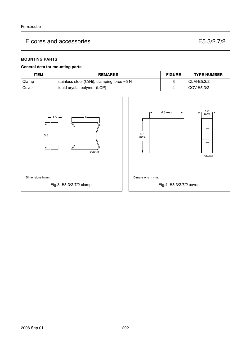### **MOUNTING PARTS**

#### **General data for mounting parts**

| <b>'TEM</b> | <b>REMARKS</b>                                       | <b>FIGURE</b> | <b>TYPE NUMBER</b> |
|-------------|------------------------------------------------------|---------------|--------------------|
| Clamp       | stainless steel (CrNi); clamping force $\approx$ 5 N |               | CLM-E5.3/2         |
| Cover       | liquid crystal polymer (LCP)                         |               | COV-E5.3/2         |

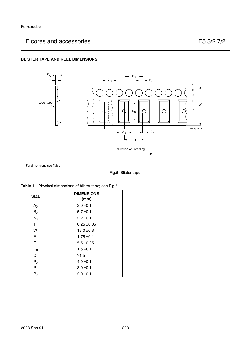### **BLISTER TAPE AND REEL DIMENSIONS**



|  | Table 1 Physical dimensions of blister tape; see Fig.5 |  |
|--|--------------------------------------------------------|--|
|--|--------------------------------------------------------|--|

| <b>SIZE</b>    | <b>DIMENSIONS</b><br>(mm) |
|----------------|---------------------------|
| A <sub>0</sub> | $3.0 \pm 0.1$             |
| $B_0$          | $5.7 \pm 0.1$             |
| $K_0$          | $2.2 \pm 0.1$             |
| Τ              | $0.25 + 0.05$             |
| W              | $12.0 \pm 0.3$            |
| Е              | $1.75 \pm 0.1$            |
| F              | $5.5 \pm 0.05$            |
| $D_0$          | $1.5 + 0.1$               |
| $D_1$          | $\geq 1.5$                |
| $P_0$          | $4.0 \pm 0.1$             |
| $P_1$          | $8.0 \pm 0.1$             |
| P <sub>2</sub> | $2.0 \pm 0.1$             |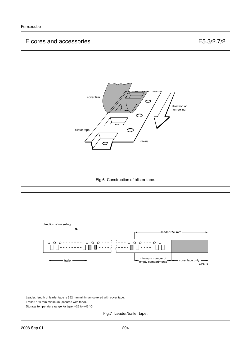

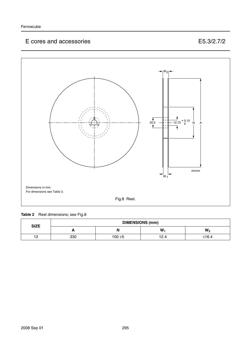

### Table 2 Reel dimensions; see Fig.8

| <b>SIZE</b>         | <b>DIMENSIONS (mm)</b> |           |      |                |
|---------------------|------------------------|-----------|------|----------------|
|                     |                        | N         | W    | W <sub>2</sub> |
| $\overline{1}$<br>. | 330                    | $100 + 5$ | 12.4 | ≤16.4          |